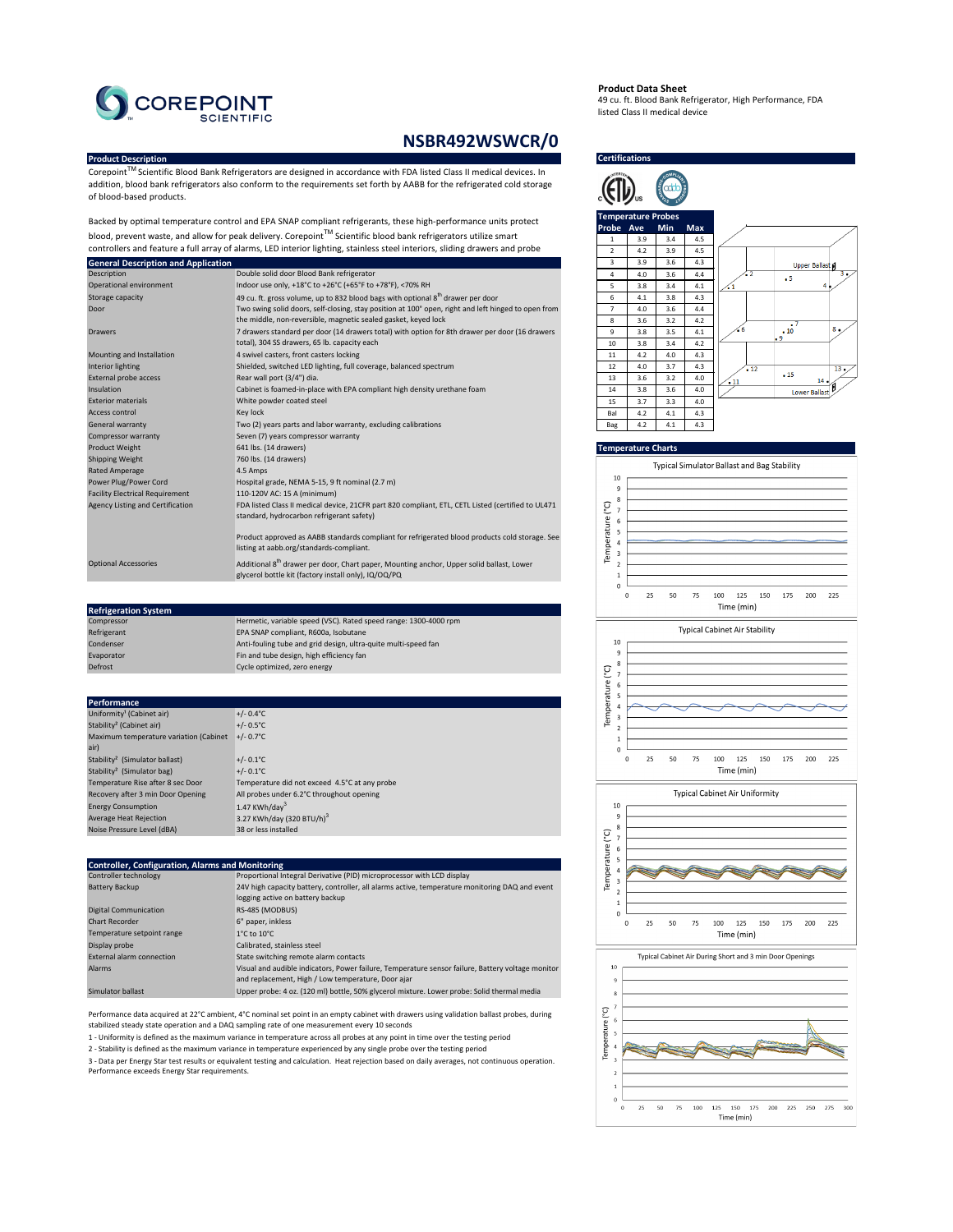# **Product Description**



Corepoint™ Scientific Blood Bank Refrigerators are designed in accordance with FDA listed Class II medical devices. In addition, blood bank refrigerators also conform to the requirements set forth by AABB for the refrigerated cold storage of blood-based products.

| Compressor  | Hermetic, variable speed (VSC). Rated speed range: 1300-4000 rpm |
|-------------|------------------------------------------------------------------|
| Refrigerant | EPA SNAP compliant, R600a, Isobutane                             |
| Condenser   | Anti-fouling tube and grid design, ultra-quite multi-speed fan   |
| Evaporator  | Fin and tube design, high efficiency fan                         |
| Defrost     | Cycle optimized, zero energy                                     |

#### **Temperature Charts**



Backed by optimal temperature control and EPA SNAP compliant refrigerants, these high-performance units protect blood, prevent waste, and allow for peak delivery. Corepoint<sup>™</sup> Scientific blood bank refrigerators utilize smart controllers and feature a full array of alarms, LED interior lighting, stainless steel interiors, sliding drawers and probe

| Description                             | Double solid door Blood Bank refrigerator                                                            | $\overline{4}$            | 4.0 | 3.6                   | 4.4 |
|-----------------------------------------|------------------------------------------------------------------------------------------------------|---------------------------|-----|-----------------------|-----|
| Operational environment                 | Indoor use only, +18°C to +26°C (+65°F to +78°F), <70% RH                                            | 5                         | 3.8 | 3.4                   | 4.1 |
| Storage capacity                        | 49 cu. ft. gross volume, up to 832 blood bags with optional $8th$ drawer per door                    | 6                         | 4.1 | 3.8                   | 4.3 |
| Door                                    | Two swing solid doors, self-closing, stay position at 100° open, right and left hinged to open from  | $\overline{7}$            | 4.0 | 3.6                   | 4.4 |
|                                         | the middle, non-reversible, magnetic sealed gasket, keyed lock                                       | 8                         | 3.6 | 3.2                   | 4.2 |
| <b>Drawers</b>                          | 7 drawers standard per door (14 drawers total) with option for 8th drawer per door (16 drawers       | 9                         | 3.8 | 3.5                   | 4.1 |
|                                         | total), 304 SS drawers, 65 lb. capacity each                                                         | 10                        | 3.8 | 3.4                   | 4.2 |
| Mounting and Installation               | 4 swivel casters, front casters locking                                                              | 11                        | 4.2 | 4.0                   | 4.3 |
| Interior lighting                       | Shielded, switched LED lighting, full coverage, balanced spectrum                                    | 12                        | 4.0 | 3.7                   | 4.3 |
| External probe access                   | Rear wall port (3/4") dia.                                                                           | 13                        | 3.6 | 3.2                   | 4.0 |
| Insulation                              | Cabinet is foamed-in-place with EPA compliant high density urethane foam                             | 14                        | 3.8 | 3.6                   | 4.0 |
| <b>Exterior materials</b>               | White powder coated steel                                                                            | 15                        | 3.7 | 3.3                   | 4.0 |
| <b>Access control</b>                   | Key lock                                                                                             | Bal                       | 4.2 | 4.1                   | 4.3 |
| <b>General warranty</b>                 | Two (2) years parts and labor warranty, excluding calibrations                                       | <b>Bag</b>                | 4.2 | 4.1                   | 4.3 |
| <b>Compressor warranty</b>              | Seven (7) years compressor warranty                                                                  |                           |     |                       |     |
| <b>Product Weight</b>                   | 641 lbs. (14 drawers)                                                                                | <b>Temperature Charts</b> |     |                       |     |
| <b>Shipping Weight</b>                  | 760 lbs. (14 drawers)                                                                                |                           |     |                       |     |
| Rated Amperage                          | 4.5 Amps                                                                                             |                           |     | <b>Typical Simula</b> |     |
| Power Plug/Power Cord                   | Hospital grade, NEMA 5-15, 9 ft nominal (2.7 m)                                                      | 10                        |     |                       |     |
| <b>Facility Electrical Requirement</b>  | 110-120V AC: 15 A (minimum)                                                                          | 9<br>8                    |     |                       |     |
| <b>Agency Listing and Certification</b> | FDA listed Class II medical device, 21CFR part 820 compliant, ETL, CETL Listed (certified to UL471   | $\overline{C}$            |     |                       |     |
|                                         | standard, hydrocarbon refrigerant safety)                                                            |                           |     |                       |     |
|                                         |                                                                                                      | 5                         |     |                       |     |
|                                         | Product approved as AABB standards compliant for refrigerated blood products cold storage. See       | Temperature               |     |                       |     |
|                                         | listing at aabb.org/standards-compliant.                                                             | 3                         |     |                       |     |
| <b>Optional Accessories</b>             | Additional 8 <sup>th</sup> drawer per door, Chart paper, Mounting anchor, Upper solid ballast, Lower | 2                         |     |                       |     |
|                                         | glycerol bottle kit (factory install only), IQ/OQ/PQ                                                 |                           |     |                       |     |
|                                         |                                                                                                      |                           |     |                       |     |

| <b>Performance</b>                         |                                               |
|--------------------------------------------|-----------------------------------------------|
| Uniformity <sup>1</sup> (Cabinet air)      | $+/- 0.4$ °C                                  |
| Stability <sup>2</sup> (Cabinet air)       | $+/- 0.5^{\circ}C$                            |
| Maximum temperature variation (Cabinet     | $+/- 0.7^{\circ}$ C                           |
| air)                                       |                                               |
| Stability <sup>2</sup> (Simulator ballast) | $+/- 0.1^{\circ}C$                            |
| Stability <sup>2</sup> (Simulator bag)     | $+/- 0.1^{\circ}C$                            |
| Temperature Rise after 8 sec Door          | Temperature did not exceed 4.5°C at any probe |
| Recovery after 3 min Door Opening          | All probes under 6.2°C throughout opening     |
| <b>Energy Consumption</b>                  | 1.47 KWh/day <sup>3</sup>                     |
| Average Heat Rejection                     | 3.27 KWh/day (320 BTU/h) $^3$                 |
| Noise Pressure Level (dBA)                 | 38 or less installed                          |

| <b>Controller, Configuration, Alarms and Monitoring</b> |                                                                                                   |  |  |
|---------------------------------------------------------|---------------------------------------------------------------------------------------------------|--|--|
| Controller technology                                   | Proportional Integral Derivative (PID) microprocessor with LCD display                            |  |  |
| <b>Battery Backup</b>                                   | 24V high capacity battery, controller, all alarms active, temperature monitoring DAQ and event    |  |  |
|                                                         | logging active on battery backup                                                                  |  |  |
| <b>Digital Communication</b>                            | RS-485 (MODBUS)                                                                                   |  |  |
| <b>Chart Recorder</b>                                   | 6" paper, inkless                                                                                 |  |  |
| Temperature setpoint range                              | $1^{\circ}$ C to $10^{\circ}$ C                                                                   |  |  |
| Display probe                                           | Calibrated, stainless steel                                                                       |  |  |
| <b>External alarm connection</b>                        | State switching remote alarm contacts                                                             |  |  |
| <b>Alarms</b>                                           | Visual and audible indicators, Power failure, Temperature sensor failure, Battery voltage monitor |  |  |
|                                                         | and replacement, High / Low temperature, Door ajar                                                |  |  |
| <b>Simulator ballast</b>                                | Upper probe: 4 oz. (120 ml) bottle, 50% glycerol mixture. Lower probe: Solid thermal media        |  |  |



# **NSBR492WSWCR/0**

### **Certifications**



#### **Product Data Sheet**

49 cu. ft. Blood Bank Refrigerator, High Performance, FDA listed Class II medical device



1 - Uniformity is defined as the maximum variance in temperature across all probes at any point in time over the testing period

Performance data acquired at 22°C ambient, 4°C nominal set point in an empty cabinet with drawers using validation ballast probes, during stabilized steady state operation and a DAQ sampling rate of one measurement every 10 seconds

3 - Data per Energy Star test results or equivalent testing and calculation. Heat rejection based on daily averages, not continuous operation. Performance exceeds Energy Star requirements.







2 - Stability is defined as the maximum variance in temperature experienced by any single probe over the testing period